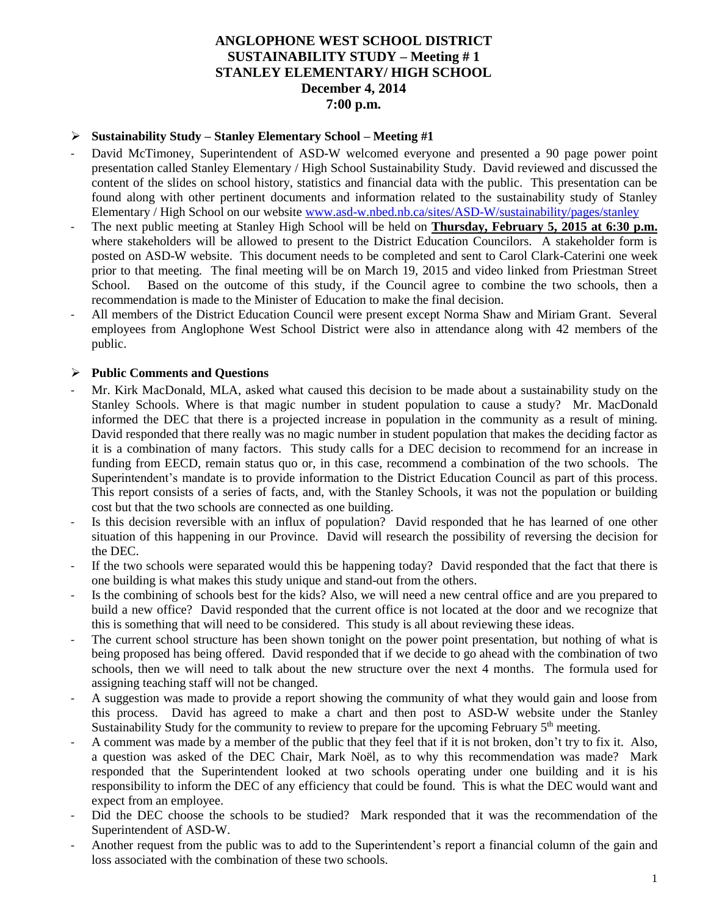## **ANGLOPHONE WEST SCHOOL DISTRICT SUSTAINABILITY STUDY – Meeting # 1 STANLEY ELEMENTARY/ HIGH SCHOOL December 4, 2014 7:00 p.m.**

#### **Sustainability Study – Stanley Elementary School – Meeting #1**

- David McTimoney, Superintendent of ASD-W welcomed everyone and presented a 90 page power point presentation called Stanley Elementary / High School Sustainability Study. David reviewed and discussed the content of the slides on school history, statistics and financial data with the public. This presentation can be found along with other pertinent documents and information related to the sustainability study of Stanley Elementary / High School on our website www.asd-w.nbed.nb.ca/sites/ASD-W/sustainability/pages/stanley
- The next public meeting at Stanley High School will be held on **Thursday, February 5, 2015 at 6:30 p.m.** where stakeholders will be allowed to present to the District Education Councilors. A stakeholder form is posted on ASD-W website. This document needs to be completed and sent to Carol Clark-Caterini one week prior to that meeting. The final meeting will be on March 19, 2015 and video linked from Priestman Street School. Based on the outcome of this study, if the Council agree to combine the two schools, then a recommendation is made to the Minister of Education to make the final decision.
- All members of the District Education Council were present except Norma Shaw and Miriam Grant. Several employees from Anglophone West School District were also in attendance along with 42 members of the public.

#### **Public Comments and Questions**

- Mr. Kirk MacDonald, MLA, asked what caused this decision to be made about a sustainability study on the Stanley Schools. Where is that magic number in student population to cause a study? Mr. MacDonald informed the DEC that there is a projected increase in population in the community as a result of mining. David responded that there really was no magic number in student population that makes the deciding factor as it is a combination of many factors. This study calls for a DEC decision to recommend for an increase in funding from EECD, remain status quo or, in this case, recommend a combination of the two schools. The Superintendent's mandate is to provide information to the District Education Council as part of this process. This report consists of a series of facts, and, with the Stanley Schools, it was not the population or building cost but that the two schools are connected as one building.
- Is this decision reversible with an influx of population? David responded that he has learned of one other situation of this happening in our Province. David will research the possibility of reversing the decision for the DEC.
- If the two schools were separated would this be happening today? David responded that the fact that there is one building is what makes this study unique and stand-out from the others.
- Is the combining of schools best for the kids? Also, we will need a new central office and are you prepared to build a new office? David responded that the current office is not located at the door and we recognize that this is something that will need to be considered. This study is all about reviewing these ideas.
- The current school structure has been shown tonight on the power point presentation, but nothing of what is being proposed has being offered. David responded that if we decide to go ahead with the combination of two schools, then we will need to talk about the new structure over the next 4 months. The formula used for assigning teaching staff will not be changed.
- A suggestion was made to provide a report showing the community of what they would gain and loose from this process. David has agreed to make a chart and then post to ASD-W website under the Stanley Sustainability Study for the community to review to prepare for the upcoming February  $5<sup>th</sup>$  meeting.
- A comment was made by a member of the public that they feel that if it is not broken, don't try to fix it. Also, a question was asked of the DEC Chair, Mark Noël, as to why this recommendation was made? Mark responded that the Superintendent looked at two schools operating under one building and it is his responsibility to inform the DEC of any efficiency that could be found. This is what the DEC would want and expect from an employee.
- Did the DEC choose the schools to be studied? Mark responded that it was the recommendation of the Superintendent of ASD-W.
- Another request from the public was to add to the Superintendent's report a financial column of the gain and loss associated with the combination of these two schools.